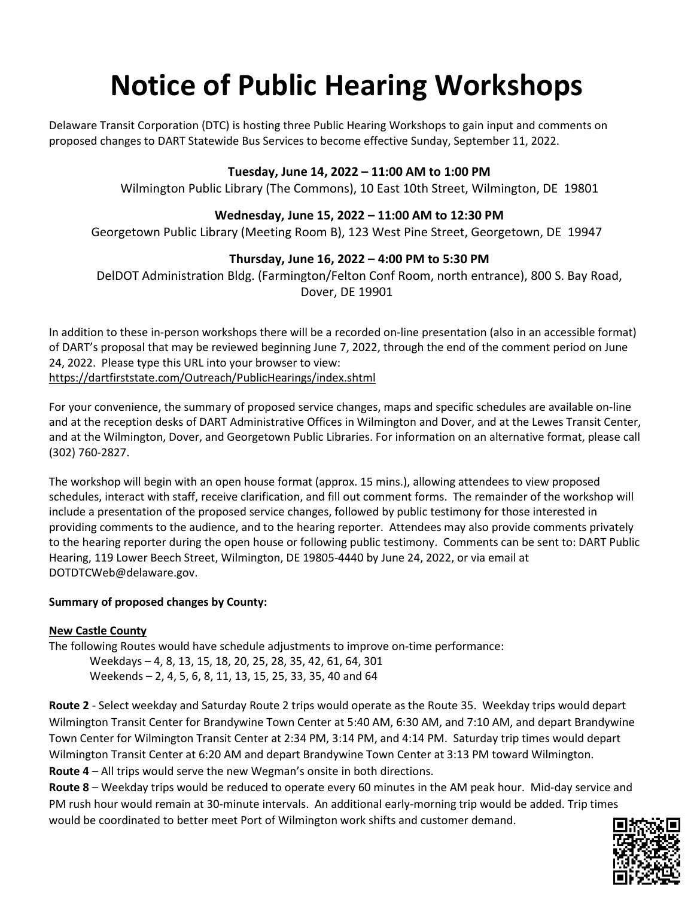# **Notice of Public Hearing Workshops**

Delaware Transit Corporation (DTC) is hosting three Public Hearing Workshops to gain input and comments on proposed changes to DART Statewide Bus Services to become effective Sunday, September 11, 2022.

## **Tuesday, June 14, 2022 – 11:00 AM to 1:00 PM**

Wilmington Public Library (The Commons), 10 East 10th Street, Wilmington, DE 19801

## **Wednesday, June 15, 2022 – 11:00 AM to 12:30 PM**

Georgetown Public Library (Meeting Room B), 123 West Pine Street, Georgetown, DE 19947

# **Thursday, June 16, 2022 – 4:00 PM to 5:30 PM**

DelDOT Administration Bldg. (Farmington/Felton Conf Room, north entrance), 800 S. Bay Road, Dover, DE 19901

In addition to these in-person workshops there will be a recorded on-line presentation (also in an accessible format) of DART's proposal that may be reviewed beginning June 7, 2022, through the end of the comment period on June 24, 2022. Please type this URL into your browser to view: [https://dartfirststate.com/Outreach/PublicHearings/index.shtml](https://gcc02.safelinks.protection.outlook.com/?url=https%3A%2F%2Fdartfirststate.com%2FOutreach%2FPublicHearings%2Findex.shtml&data=05%7C01%7CCathy.Smith%40delaware.gov%7Ceacf92efe961419bcd3a08da3e76a75d%7C8c09e56951c54deeabb28b99c32a4396%7C0%7C0%7C637890976583986604%7CUnknown%7CTWFpbGZsb3d8eyJWIjoiMC4wLjAwMDAiLCJQIjoiV2luMzIiLCJBTiI6Ik1haWwiLCJXVCI6Mn0%3D%7C3000%7C%7C%7C&sdata=vP9BSV6%2BRHDZH4vWcCBJddQ3%2BK5uPr65%2BKLmIUl3RmI%3D&reserved=0)

For your convenience, the summary of proposed service changes, maps and specific schedules are available on-line and at the reception desks of DART Administrative Offices in Wilmington and Dover, and at the Lewes Transit Center, and at the Wilmington, Dover, and Georgetown Public Libraries. For information on an alternative format, please call (302) 760-2827.

The workshop will begin with an open house format (approx. 15 mins.), allowing attendees to view proposed schedules, interact with staff, receive clarification, and fill out comment forms. The remainder of the workshop will include a presentation of the proposed service changes, followed by public testimony for those interested in providing comments to the audience, and to the hearing reporter. Attendees may also provide comments privately to the hearing reporter during the open house or following public testimony. Comments can be sent to: DART Public Hearing, 119 Lower Beech Street, Wilmington, DE 19805-4440 by June 24, 2022, or via email at DOTDTCWeb@delaware.gov.

### **Summary of proposed changes by County:**

### **New Castle County**

The following Routes would have schedule adjustments to improve on-time performance: Weekdays – 4, 8, 13, 15, 18, 20, 25, 28, 35, 42, 61, 64, 301 Weekends – 2, 4, 5, 6, 8, 11, 13, 15, 25, 33, 35, 40 and 64

**Route 2** - Select weekday and Saturday Route 2 trips would operate as the Route 35. Weekday trips would depart Wilmington Transit Center for Brandywine Town Center at 5:40 AM, 6:30 AM, and 7:10 AM, and depart Brandywine Town Center for Wilmington Transit Center at 2:34 PM, 3:14 PM, and 4:14 PM. Saturday trip times would depart Wilmington Transit Center at 6:20 AM and depart Brandywine Town Center at 3:13 PM toward Wilmington. **Route 4** – All trips would serve the new Wegman's onsite in both directions.

**Route 8** – Weekday trips would be reduced to operate every 60 minutes in the AM peak hour. Mid-day service and PM rush hour would remain at 30-minute intervals. An additional early-morning trip would be added. Trip times would be coordinated to better meet Port of Wilmington work shifts and customer demand.

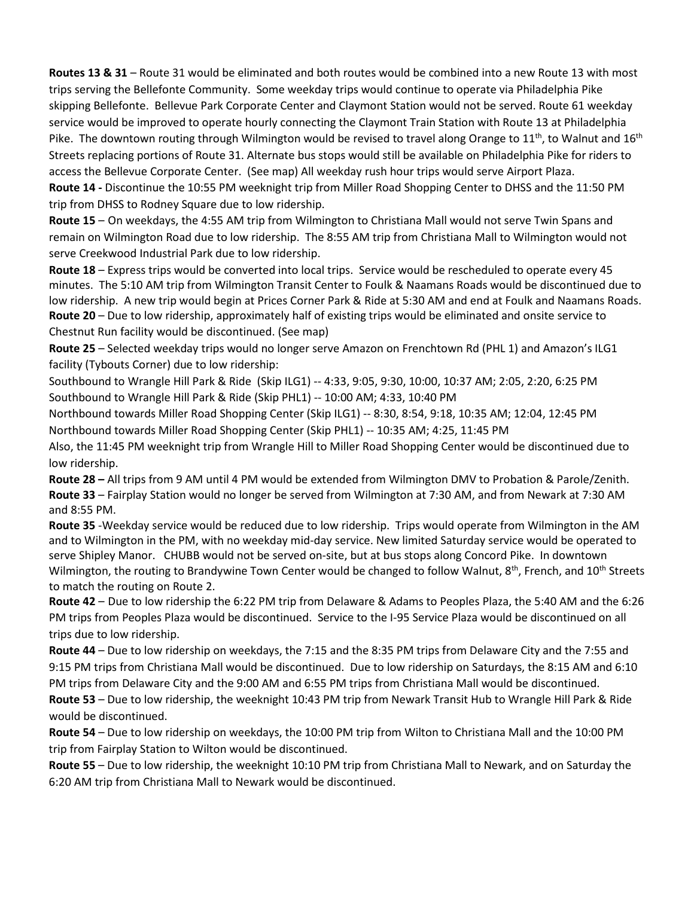**Routes 13 & 31** – Route 31 would be eliminated and both routes would be combined into a new Route 13 with most trips serving the Bellefonte Community. Some weekday trips would continue to operate via Philadelphia Pike skipping Bellefonte. Bellevue Park Corporate Center and Claymont Station would not be served. Route 61 weekday service would be improved to operate hourly connecting the Claymont Train Station with Route 13 at Philadelphia Pike. The downtown routing through Wilmington would be revised to travel along Orange to  $11^{th}$ , to Walnut and  $16^{th}$ Streets replacing portions of Route 31. Alternate bus stops would still be available on Philadelphia Pike for riders to access the Bellevue Corporate Center. (See map) All weekday rush hour trips would serve Airport Plaza. **Route 14 -** Discontinue the 10:55 PM weeknight trip from Miller Road Shopping Center to DHSS and the 11:50 PM trip from DHSS to Rodney Square due to low ridership.

**Route 15** – On weekdays, the 4:55 AM trip from Wilmington to Christiana Mall would not serve Twin Spans and remain on Wilmington Road due to low ridership. The 8:55 AM trip from Christiana Mall to Wilmington would not serve Creekwood Industrial Park due to low ridership.

**Route 18** – Express trips would be converted into local trips. Service would be rescheduled to operate every 45 minutes. The 5:10 AM trip from Wilmington Transit Center to Foulk & Naamans Roads would be discontinued due to low ridership. A new trip would begin at Prices Corner Park & Ride at 5:30 AM and end at Foulk and Naamans Roads. **Route 20** – Due to low ridership, approximately half of existing trips would be eliminated and onsite service to Chestnut Run facility would be discontinued. (See map)

**Route 25** – Selected weekday trips would no longer serve Amazon on Frenchtown Rd (PHL 1) and Amazon's ILG1 facility (Tybouts Corner) due to low ridership:

Southbound to Wrangle Hill Park & Ride (Skip ILG1) -- 4:33, 9:05, 9:30, 10:00, 10:37 AM; 2:05, 2:20, 6:25 PM Southbound to Wrangle Hill Park & Ride (Skip PHL1) -- 10:00 AM; 4:33, 10:40 PM

Northbound towards Miller Road Shopping Center (Skip ILG1) -- 8:30, 8:54, 9:18, 10:35 AM; 12:04, 12:45 PM Northbound towards Miller Road Shopping Center (Skip PHL1) -- 10:35 AM; 4:25, 11:45 PM

Also, the 11:45 PM weeknight trip from Wrangle Hill to Miller Road Shopping Center would be discontinued due to low ridership.

**Route 28 –** All trips from 9 AM until 4 PM would be extended from Wilmington DMV to Probation & Parole/Zenith. **Route 33** – Fairplay Station would no longer be served from Wilmington at 7:30 AM, and from Newark at 7:30 AM and 8:55 PM.

**Route 35** -Weekday service would be reduced due to low ridership. Trips would operate from Wilmington in the AM and to Wilmington in the PM, with no weekday mid-day service. New limited Saturday service would be operated to serve Shipley Manor. CHUBB would not be served on-site, but at bus stops along Concord Pike. In downtown Wilmington, the routing to Brandywine Town Center would be changed to follow Walnut, 8<sup>th</sup>, French, and 10<sup>th</sup> Streets to match the routing on Route 2.

**Route 42** – Due to low ridership the 6:22 PM trip from Delaware & Adams to Peoples Plaza, the 5:40 AM and the 6:26 PM trips from Peoples Plaza would be discontinued. Service to the I-95 Service Plaza would be discontinued on all trips due to low ridership.

**Route 44** – Due to low ridership on weekdays, the 7:15 and the 8:35 PM trips from Delaware City and the 7:55 and 9:15 PM trips from Christiana Mall would be discontinued. Due to low ridership on Saturdays, the 8:15 AM and 6:10 PM trips from Delaware City and the 9:00 AM and 6:55 PM trips from Christiana Mall would be discontinued.

**Route 53** – Due to low ridership, the weeknight 10:43 PM trip from Newark Transit Hub to Wrangle Hill Park & Ride would be discontinued.

**Route 54** – Due to low ridership on weekdays, the 10:00 PM trip from Wilton to Christiana Mall and the 10:00 PM trip from Fairplay Station to Wilton would be discontinued.

**Route 55** – Due to low ridership, the weeknight 10:10 PM trip from Christiana Mall to Newark, and on Saturday the 6:20 AM trip from Christiana Mall to Newark would be discontinued.